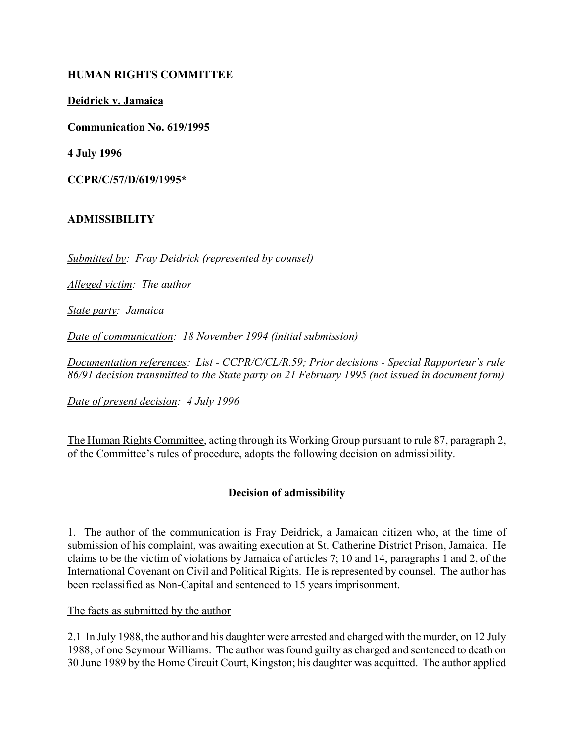### **HUMAN RIGHTS COMMITTEE**

**Deidrick v. Jamaica**

**Communication No. 619/1995**

**4 July 1996**

**CCPR/C/57/D/619/1995\***

## **ADMISSIBILITY**

*Submitted by: Fray Deidrick (represented by counsel)*

*Alleged victim: The author*

*State party: Jamaica*

*Date of communication: 18 November 1994 (initial submission)*

*Documentation references: List - CCPR/C/CL/R.59; Prior decisions - Special Rapporteur's rule 86/91 decision transmitted to the State party on 21 February 1995 (not issued in document form)*

*Date of present decision: 4 July 1996*

The Human Rights Committee, acting through its Working Group pursuant to rule 87, paragraph 2, of the Committee's rules of procedure, adopts the following decision on admissibility.

## **Decision of admissibility**

1. The author of the communication is Fray Deidrick, a Jamaican citizen who, at the time of submission of his complaint, was awaiting execution at St. Catherine District Prison, Jamaica. He claims to be the victim of violations by Jamaica of articles 7; 10 and 14, paragraphs 1 and 2, of the International Covenant on Civil and Political Rights. He is represented by counsel. The author has been reclassified as Non-Capital and sentenced to 15 years imprisonment.

The facts as submitted by the author

2.1 In July 1988, the author and his daughter were arrested and charged with the murder, on 12 July 1988, of one Seymour Williams. The author was found guilty as charged and sentenced to death on 30 June 1989 by the Home Circuit Court, Kingston; his daughter was acquitted. The author applied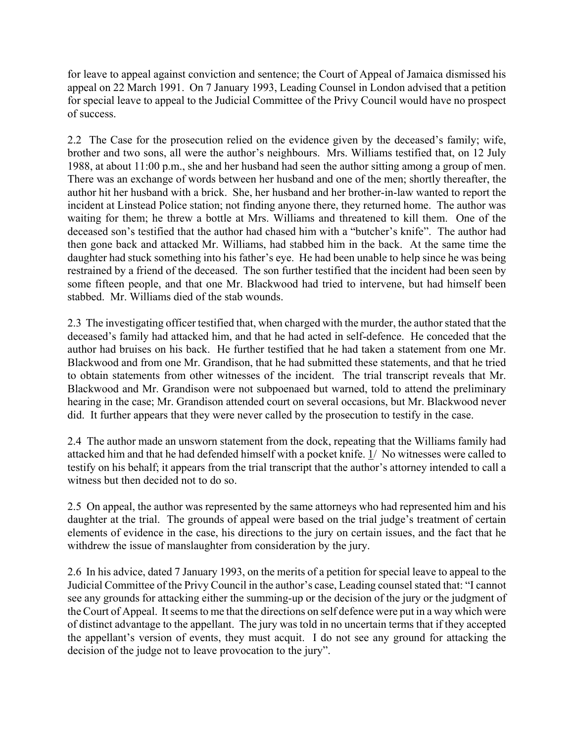for leave to appeal against conviction and sentence; the Court of Appeal of Jamaica dismissed his appeal on 22 March 1991. On 7 January 1993, Leading Counsel in London advised that a petition for special leave to appeal to the Judicial Committee of the Privy Council would have no prospect of success.

2.2 The Case for the prosecution relied on the evidence given by the deceased's family; wife, brother and two sons, all were the author's neighbours. Mrs. Williams testified that, on 12 July 1988, at about 11:00 p.m., she and her husband had seen the author sitting among a group of men. There was an exchange of words between her husband and one of the men; shortly thereafter, the author hit her husband with a brick. She, her husband and her brother-in-law wanted to report the incident at Linstead Police station; not finding anyone there, they returned home. The author was waiting for them; he threw a bottle at Mrs. Williams and threatened to kill them. One of the deceased son's testified that the author had chased him with a "butcher's knife". The author had then gone back and attacked Mr. Williams, had stabbed him in the back. At the same time the daughter had stuck something into his father's eye. He had been unable to help since he was being restrained by a friend of the deceased. The son further testified that the incident had been seen by some fifteen people, and that one Mr. Blackwood had tried to intervene, but had himself been stabbed. Mr. Williams died of the stab wounds.

2.3 The investigating officer testified that, when charged with the murder, the author stated that the deceased's family had attacked him, and that he had acted in self-defence. He conceded that the author had bruises on his back. He further testified that he had taken a statement from one Mr. Blackwood and from one Mr. Grandison, that he had submitted these statements, and that he tried to obtain statements from other witnesses of the incident. The trial transcript reveals that Mr. Blackwood and Mr. Grandison were not subpoenaed but warned, told to attend the preliminary hearing in the case; Mr. Grandison attended court on several occasions, but Mr. Blackwood never did. It further appears that they were never called by the prosecution to testify in the case.

2.4 The author made an unsworn statement from the dock, repeating that the Williams family had attacked him and that he had defended himself with a pocket knife. 1/ No witnesses were called to testify on his behalf; it appears from the trial transcript that the author's attorney intended to call a witness but then decided not to do so.

2.5 On appeal, the author was represented by the same attorneys who had represented him and his daughter at the trial. The grounds of appeal were based on the trial judge's treatment of certain elements of evidence in the case, his directions to the jury on certain issues, and the fact that he withdrew the issue of manslaughter from consideration by the jury.

2.6 In his advice, dated 7 January 1993, on the merits of a petition for special leave to appeal to the Judicial Committee of the Privy Council in the author's case, Leading counsel stated that: "I cannot see any grounds for attacking either the summing-up or the decision of the jury or the judgment of the Court of Appeal. It seems to me that the directions on self defence were put in a way which were of distinct advantage to the appellant. The jury was told in no uncertain terms that if they accepted the appellant's version of events, they must acquit. I do not see any ground for attacking the decision of the judge not to leave provocation to the jury".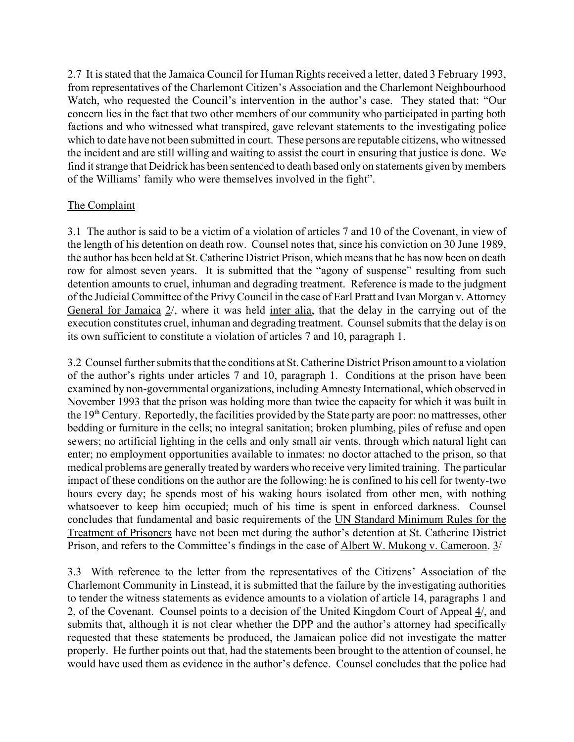2.7 It is stated that the Jamaica Council for Human Rights received a letter, dated 3 February 1993, from representatives of the Charlemont Citizen's Association and the Charlemont Neighbourhood Watch, who requested the Council's intervention in the author's case. They stated that: "Our concern lies in the fact that two other members of our community who participated in parting both factions and who witnessed what transpired, gave relevant statements to the investigating police which to date have not been submitted in court. These persons are reputable citizens, who witnessed the incident and are still willing and waiting to assist the court in ensuring that justice is done. We find it strange that Deidrick has been sentenced to death based only on statements given by members of the Williams' family who were themselves involved in the fight".

#### The Complaint

3.1 The author is said to be a victim of a violation of articles 7 and 10 of the Covenant, in view of the length of his detention on death row. Counsel notes that, since his conviction on 30 June 1989, the author has been held at St. Catherine District Prison, which means that he has now been on death row for almost seven years. It is submitted that the "agony of suspense" resulting from such detention amounts to cruel, inhuman and degrading treatment. Reference is made to the judgment of the Judicial Committee of the Privy Council in the case of Earl Pratt and Ivan Morgan v. Attorney General for Jamaica 2/, where it was held inter alia, that the delay in the carrying out of the execution constitutes cruel, inhuman and degrading treatment. Counsel submits that the delay is on its own sufficient to constitute a violation of articles 7 and 10, paragraph 1.

3.2 Counsel further submits that the conditions at St. Catherine District Prison amount to a violation of the author's rights under articles 7 and 10, paragraph 1. Conditions at the prison have been examined by non-governmental organizations, including Amnesty International, which observed in November 1993 that the prison was holding more than twice the capacity for which it was built in the 19<sup>th</sup> Century. Reportedly, the facilities provided by the State party are poor: no mattresses, other bedding or furniture in the cells; no integral sanitation; broken plumbing, piles of refuse and open sewers; no artificial lighting in the cells and only small air vents, through which natural light can enter; no employment opportunities available to inmates: no doctor attached to the prison, so that medical problems are generally treated by warders who receive very limited training. The particular impact of these conditions on the author are the following: he is confined to his cell for twenty-two hours every day; he spends most of his waking hours isolated from other men, with nothing whatsoever to keep him occupied; much of his time is spent in enforced darkness. Counsel concludes that fundamental and basic requirements of the UN Standard Minimum Rules for the Treatment of Prisoners have not been met during the author's detention at St. Catherine District Prison, and refers to the Committee's findings in the case of Albert W. Mukong v. Cameroon. 3/

3.3 With reference to the letter from the representatives of the Citizens' Association of the Charlemont Community in Linstead, it is submitted that the failure by the investigating authorities to tender the witness statements as evidence amounts to a violation of article 14, paragraphs 1 and 2, of the Covenant. Counsel points to a decision of the United Kingdom Court of Appeal 4/, and submits that, although it is not clear whether the DPP and the author's attorney had specifically requested that these statements be produced, the Jamaican police did not investigate the matter properly. He further points out that, had the statements been brought to the attention of counsel, he would have used them as evidence in the author's defence. Counsel concludes that the police had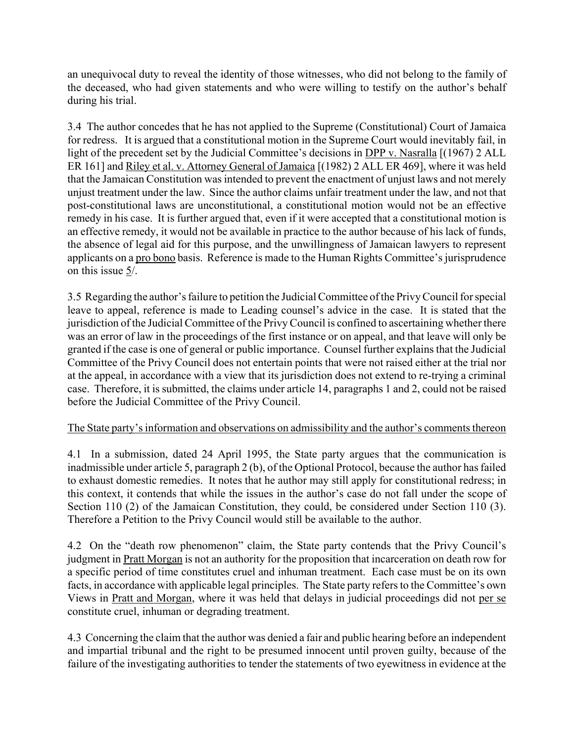an unequivocal duty to reveal the identity of those witnesses, who did not belong to the family of the deceased, who had given statements and who were willing to testify on the author's behalf during his trial.

3.4 The author concedes that he has not applied to the Supreme (Constitutional) Court of Jamaica for redress. It is argued that a constitutional motion in the Supreme Court would inevitably fail, in light of the precedent set by the Judicial Committee's decisions in DPP v. Nasralla [(1967) 2 ALL ER 161] and Riley et al. v. Attorney General of Jamaica [(1982) 2 ALL ER 469], where it was held that the Jamaican Constitution was intended to prevent the enactment of unjust laws and not merely unjust treatment under the law. Since the author claims unfair treatment under the law, and not that post-constitutional laws are unconstitutional, a constitutional motion would not be an effective remedy in his case. It is further argued that, even if it were accepted that a constitutional motion is an effective remedy, it would not be available in practice to the author because of his lack of funds, the absence of legal aid for this purpose, and the unwillingness of Jamaican lawyers to represent applicants on a pro bono basis. Reference is made to the Human Rights Committee's jurisprudence on this issue 5/.

3.5 Regarding the author's failure to petition the Judicial Committee of the Privy Council for special leave to appeal, reference is made to Leading counsel's advice in the case. It is stated that the jurisdiction of the Judicial Committee of the Privy Council is confined to ascertaining whether there was an error of law in the proceedings of the first instance or on appeal, and that leave will only be granted if the case is one of general or public importance. Counsel further explains that the Judicial Committee of the Privy Council does not entertain points that were not raised either at the trial nor at the appeal, in accordance with a view that its jurisdiction does not extend to re-trying a criminal case. Therefore, it is submitted, the claims under article 14, paragraphs 1 and 2, could not be raised before the Judicial Committee of the Privy Council.

# The State party's information and observations on admissibility and the author's comments thereon

4.1 In a submission, dated 24 April 1995, the State party argues that the communication is inadmissible under article 5, paragraph 2 (b), of the Optional Protocol, because the author has failed to exhaust domestic remedies. It notes that he author may still apply for constitutional redress; in this context, it contends that while the issues in the author's case do not fall under the scope of Section 110 (2) of the Jamaican Constitution, they could, be considered under Section 110 (3). Therefore a Petition to the Privy Council would still be available to the author.

4.2 On the "death row phenomenon" claim, the State party contends that the Privy Council's judgment in Pratt Morgan is not an authority for the proposition that incarceration on death row for a specific period of time constitutes cruel and inhuman treatment. Each case must be on its own facts, in accordance with applicable legal principles. The State party refers to the Committee's own Views in Pratt and Morgan, where it was held that delays in judicial proceedings did not per se constitute cruel, inhuman or degrading treatment.

4.3 Concerning the claim that the author was denied a fair and public hearing before an independent and impartial tribunal and the right to be presumed innocent until proven guilty, because of the failure of the investigating authorities to tender the statements of two eyewitness in evidence at the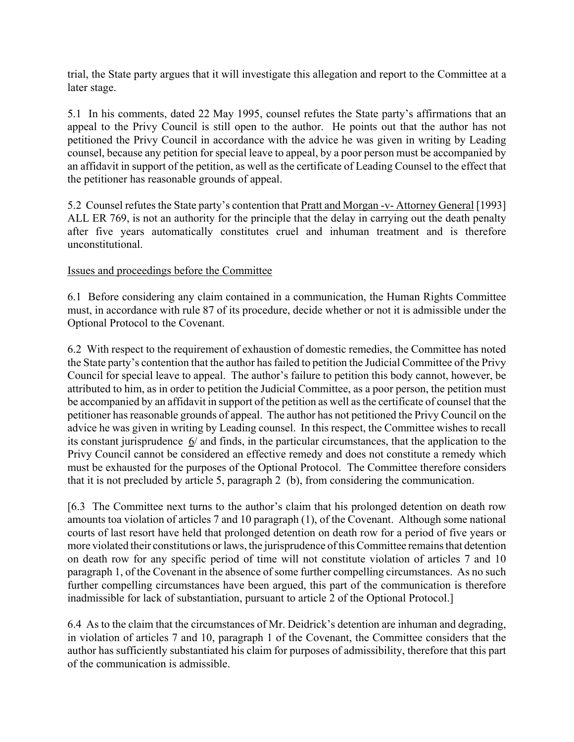trial, the State party argues that it will investigate this allegation and report to the Committee at a later stage.

5.1 In his comments, dated 22 May 1995, counsel refutes the State party's affirmations that an appeal to the Privy Council is still open to the author. He points out that the author has not petitioned the Privy Council in accordance with the advice he was given in writing by Leading counsel, because any petition for special leave to appeal, by a poor person must be accompanied by an affidavit in support of the petition, as well as the certificate of Leading Counsel to the effect that the petitioner has reasonable grounds of appeal.

5.2 Counsel refutes the State party's contention that Pratt and Morgan -v- Attorney General [1993] ALL ER 769, is not an authority for the principle that the delay in carrying out the death penalty after five years automatically constitutes cruel and inhuman treatment and is therefore unconstitutional.

## Issues and proceedings before the Committee

6.1 Before considering any claim contained in a communication, the Human Rights Committee must, in accordance with rule 87 of its procedure, decide whether or not it is admissible under the Optional Protocol to the Covenant.

6.2 With respect to the requirement of exhaustion of domestic remedies, the Committee has noted the State party's contention that the author has failed to petition the Judicial Committee of the Privy Council for special leave to appeal. The author's failure to petition this body cannot, however, be attributed to him, as in order to petition the Judicial Committee, as a poor person, the petition must be accompanied by an affidavit in support of the petition as well as the certificate of counsel that the petitioner has reasonable grounds of appeal. The author has not petitioned the Privy Council on the advice he was given in writing by Leading counsel. In this respect, the Committee wishes to recall its constant jurisprudence  $6/$  and finds, in the particular circumstances, that the application to the Privy Council cannot be considered an effective remedy and does not constitute a remedy which must be exhausted for the purposes of the Optional Protocol. The Committee therefore considers that it is not precluded by article 5, paragraph 2 (b), from considering the communication.

[6.3 The Committee next turns to the author's claim that his prolonged detention on death row amounts toa violation of articles 7 and 10 paragraph (1), of the Covenant. Although some national courts of last resort have held that prolonged detention on death row for a period of five years or more violated their constitutions or laws, the jurisprudence of this Committee remains that detention on death row for any specific period of time will not constitute violation of articles 7 and 10 paragraph 1, of the Covenant in the absence of some further compelling circumstances. As no such further compelling circumstances have been argued, this part of the communication is therefore inadmissible for lack of substantiation, pursuant to article 2 of the Optional Protocol.]

6.4 As to the claim that the circumstances of Mr. Deidrick's detention are inhuman and degrading, in violation of articles 7 and 10, paragraph 1 of the Covenant, the Committee considers that the author has sufficiently substantiated his claim for purposes of admissibility, therefore that this part of the communication is admissible.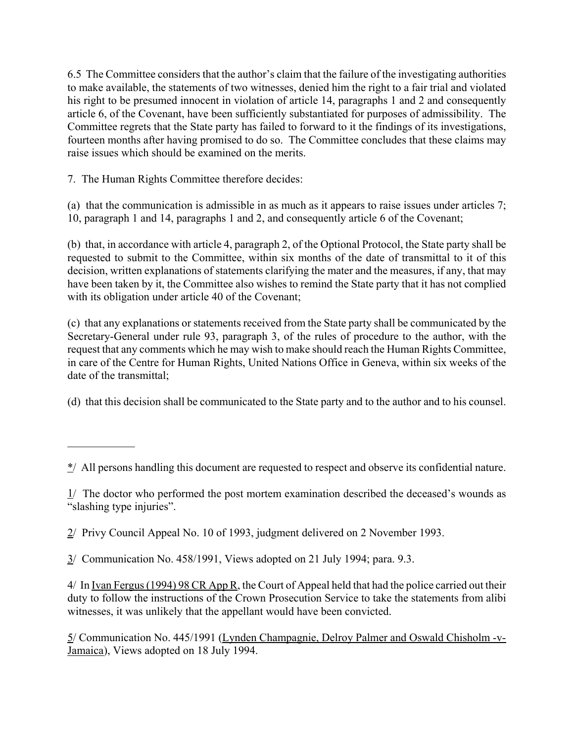6.5 The Committee considers that the author's claim that the failure of the investigating authorities to make available, the statements of two witnesses, denied him the right to a fair trial and violated his right to be presumed innocent in violation of article 14, paragraphs 1 and 2 and consequently article 6, of the Covenant, have been sufficiently substantiated for purposes of admissibility. The Committee regrets that the State party has failed to forward to it the findings of its investigations, fourteen months after having promised to do so. The Committee concludes that these claims may raise issues which should be examined on the merits.

7. The Human Rights Committee therefore decides:

 $\mathcal{L}_\text{max}$ 

(a) that the communication is admissible in as much as it appears to raise issues under articles 7; 10, paragraph 1 and 14, paragraphs 1 and 2, and consequently article 6 of the Covenant;

(b) that, in accordance with article 4, paragraph 2, of the Optional Protocol, the State party shall be requested to submit to the Committee, within six months of the date of transmittal to it of this decision, written explanations of statements clarifying the mater and the measures, if any, that may have been taken by it, the Committee also wishes to remind the State party that it has not complied with its obligation under article 40 of the Covenant;

(c) that any explanations or statements received from the State party shall be communicated by the Secretary-General under rule 93, paragraph 3, of the rules of procedure to the author, with the request that any comments which he may wish to make should reach the Human Rights Committee, in care of the Centre for Human Rights, United Nations Office in Geneva, within six weeks of the date of the transmittal;

(d) that this decision shall be communicated to the State party and to the author and to his counsel.

3/ Communication No. 458/1991, Views adopted on 21 July 1994; para. 9.3.

4/ In <u>Ivan Fergus (1994) 98 CR App R</u>, the Court of Appeal held that had the police carried out their duty to follow the instructions of the Crown Prosecution Service to take the statements from alibi witnesses, it was unlikely that the appellant would have been convicted.

5/ Communication No. 445/1991 (Lynden Champagnie, Delroy Palmer and Oswald Chisholm -v-Jamaica), Views adopted on 18 July 1994.

 $\frac{\dot{x}}{}$  All persons handling this document are requested to respect and observe its confidential nature.

 $1/$  The doctor who performed the post mortem examination described the deceased's wounds as "slashing type injuries".

<sup>2/</sup> Privy Council Appeal No. 10 of 1993, judgment delivered on 2 November 1993.